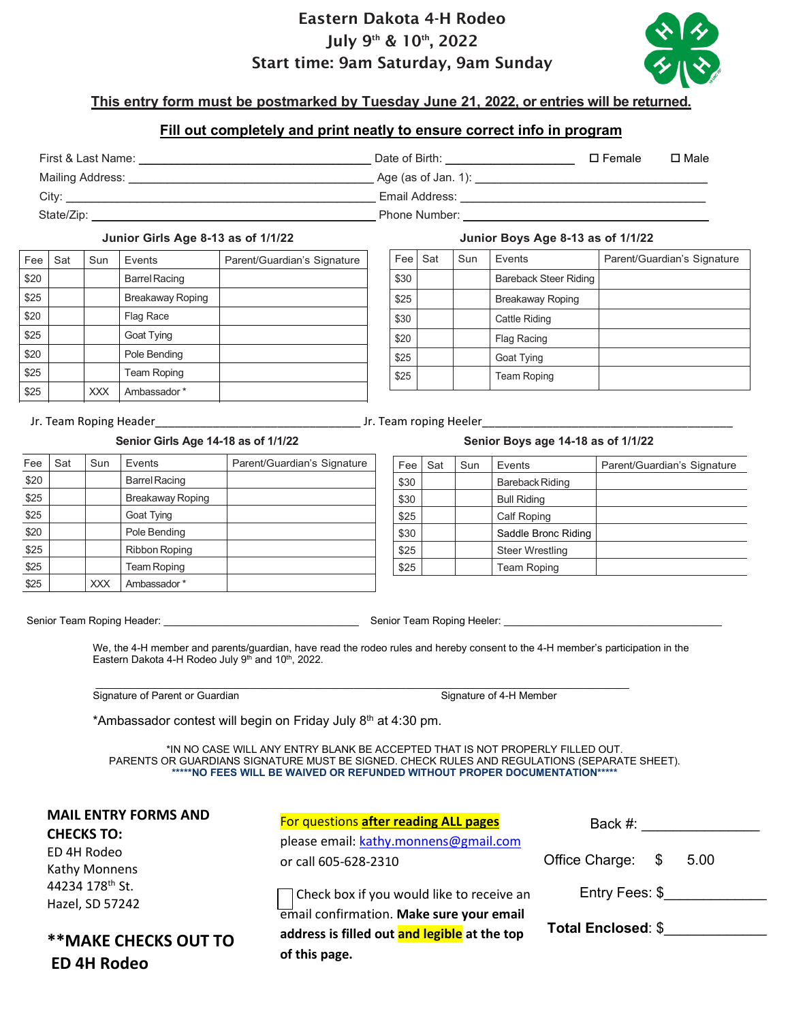# Eastern Dakota 4-H Rodeo July 9<sup>th</sup> & 10<sup>th</sup>, 2022 Start time: 9am Saturday, 9am Sunday



# **This entry form must be postmarked by Tuesday June 21, 2022, or entries will be returned.**

## **Fill out completely and print neatly to ensure correct info in program**

| First & Last Name:                                                                                             | Date of Birth: | $\square$ Female | $\square$ Male |
|----------------------------------------------------------------------------------------------------------------|----------------|------------------|----------------|
| Mailing Address: the control of the control of the control of the control of the control of the control of the |                |                  |                |
| City:                                                                                                          | Email Address: |                  |                |
| State/Zip:                                                                                                     | Phone Number:  |                  |                |

### **Junior Girls Age 8-13 as of 1/1/22 Junior Boys Age 8-13 as of 1/1/22**

| Fee  | Sat | Sun        | Events               | Parent/Guardian's Signature |
|------|-----|------------|----------------------|-----------------------------|
| \$20 |     |            | <b>Barrel Racing</b> |                             |
| \$25 |     |            | Breakaway Roping     |                             |
| \$20 |     |            | Flag Race            |                             |
| \$25 |     |            | Goat Tying           |                             |
| \$20 |     |            | Pole Bending         |                             |
| \$25 |     |            | <b>Team Roping</b>   |                             |
| \$25 |     | <b>XXX</b> | Ambassador*          |                             |

| Fee  | Sat | Sun | Events                | Parent/Guardian's Signature |
|------|-----|-----|-----------------------|-----------------------------|
| \$30 |     |     | Bareback Steer Riding |                             |
| \$25 |     |     | Breakaway Roping      |                             |
| \$30 |     |     | Cattle Riding         |                             |
| \$20 |     |     | <b>Flag Racing</b>    |                             |
| \$25 |     |     | Goat Tying            |                             |
| \$25 |     |     | <b>Team Roping</b>    |                             |

### Jr. Team Roping Header **No. 2018** Section 1. Team roping Heeler

### **Senior Girls Age 14-18 as of 1/1/22 Senior Boys age 14-18 as of 1/1/22**

| Fee  | Sat | Sun | Events               | Parent/Guardian's Signature |
|------|-----|-----|----------------------|-----------------------------|
| \$20 |     |     | <b>Barrel Racing</b> |                             |
| \$25 |     |     | Breakaway Roping     |                             |
| \$25 |     |     | Goat Tying           |                             |
| \$20 |     |     | Pole Bending         |                             |
| \$25 |     |     | <b>Ribbon Roping</b> |                             |
| \$25 |     |     | Team Roping          |                             |
| \$25 |     | XXX | Ambassador*          |                             |

| Fee  | Sat | Sun | Events                 | Parent/Guardian's Signature |
|------|-----|-----|------------------------|-----------------------------|
| \$30 |     |     | Bareback Riding        |                             |
| \$30 |     |     | <b>Bull Riding</b>     |                             |
| \$25 |     |     | <b>Calf Roping</b>     |                             |
| \$30 |     |     | Saddle Bronc Riding    |                             |
| \$25 |     |     | <b>Steer Wrestling</b> |                             |
| \$25 |     |     | <b>Team Roping</b>     |                             |

Senior Team Roping Header: \_\_\_\_\_\_\_\_\_\_\_\_\_\_\_\_\_\_\_\_\_\_\_\_\_\_\_\_\_\_\_\_\_\_ Senior Team Roping Heeler: \_\_\_\_\_\_\_\_\_\_\_\_\_\_\_\_\_\_\_\_\_\_\_\_\_\_\_\_\_\_\_\_\_\_\_\_\_\_

We, the 4-H member and parents/guardian, have read the rodeo rules and hereby consent to the 4-H member's participation in the Eastern Dakota 4-H Rodeo July  $9<sup>th</sup>$  and 10<sup>th</sup>, 2022.

 $\overline{\phantom{a}}$  ,  $\overline{\phantom{a}}$  ,  $\overline{\phantom{a}}$  ,  $\overline{\phantom{a}}$  ,  $\overline{\phantom{a}}$  ,  $\overline{\phantom{a}}$  ,  $\overline{\phantom{a}}$  ,  $\overline{\phantom{a}}$  ,  $\overline{\phantom{a}}$  ,  $\overline{\phantom{a}}$  ,  $\overline{\phantom{a}}$  ,  $\overline{\phantom{a}}$  ,  $\overline{\phantom{a}}$  ,  $\overline{\phantom{a}}$  ,  $\overline{\phantom{a}}$  ,  $\overline{\phantom{a}}$ Signature of Parent or Guardian Signature of 4-H Member

\*Ambassador contest will begin on Friday July  $8<sup>th</sup>$  at 4:30 pm.

\*IN NO CASE WILL ANY ENTRY BLANK BE ACCEPTED THAT IS NOT PROPERLY FILLED OUT. PARENTS OR GUARDIANS SIGNATURE MUST BE SIGNED. CHECK RULES AND REGULATIONS (SEPARATE SHEET). **\*\*\*\*\*NO FEES WILL BE WAIVED OR REFUNDED WITHOUT PROPER DOCUMENTATION\*\*\*\*\***

| <b>MAIL ENTRY FORMS AND</b><br><b>CHECKS TO:</b>   | For questions after reading ALL pages<br>please email: kathy.monnens@gmail.com                                 | Back #:                        |  |
|----------------------------------------------------|----------------------------------------------------------------------------------------------------------------|--------------------------------|--|
| ED 4H Rodeo<br>Kathy Monnens                       | or call 605-628-2310                                                                                           | Office Charge:<br>- \$<br>5.00 |  |
| 44234 178 <sup>th</sup> St.<br>Hazel, SD 57242     | $\overline{\phantom{a}}$ Check box if you would like to receive an<br>email confirmation. Make sure your email | Entry Fees: \$                 |  |
| <b>** MAKE CHECKS OUT TO</b><br><b>ED 4H Rodeo</b> | address is filled out and legible at the top<br>of this page.                                                  | <b>Total Enclosed: \$</b>      |  |